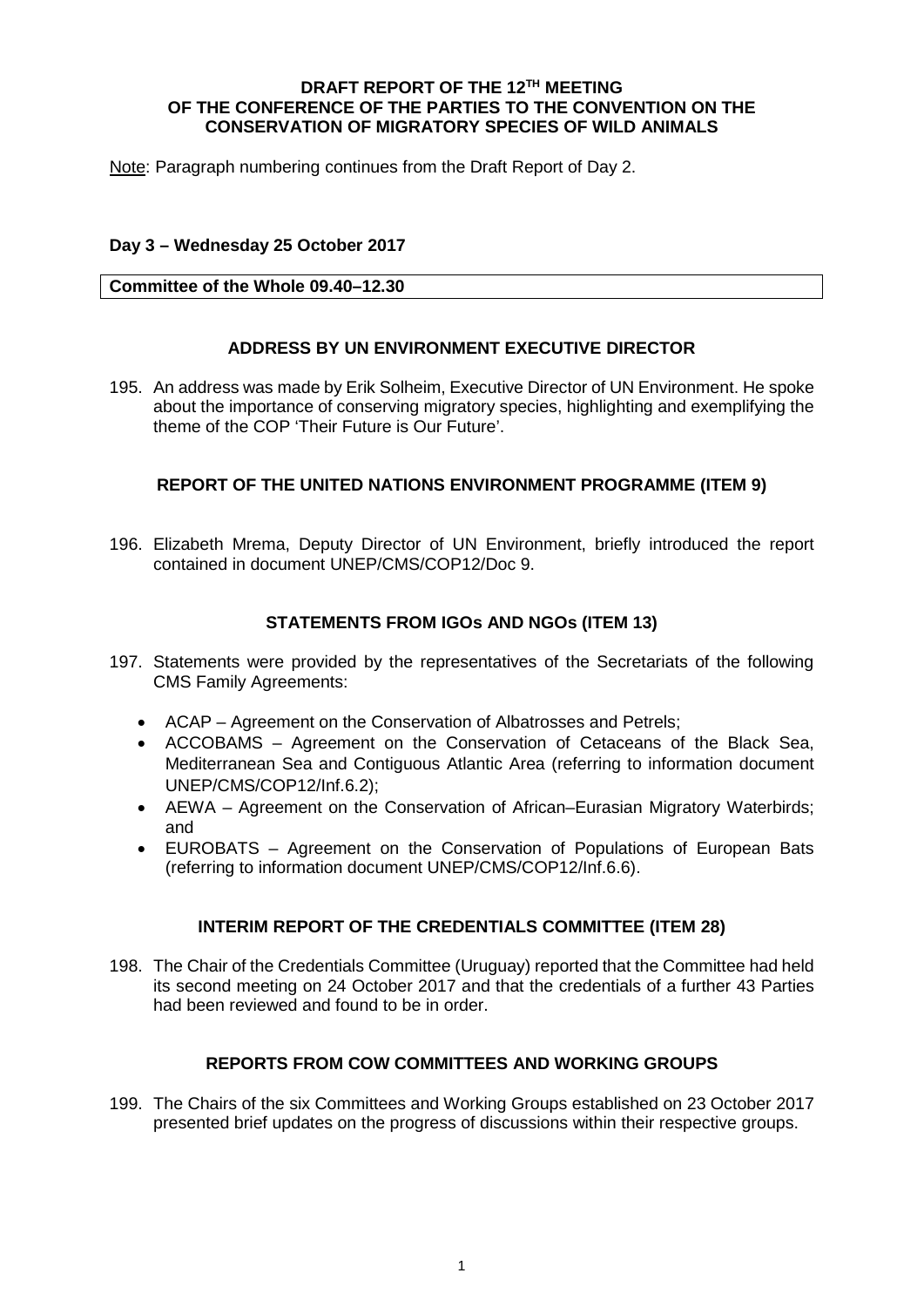### **DRAFT REPORT OF THE 12TH MEETING OF THE CONFERENCE OF THE PARTIES TO THE CONVENTION ON THE CONSERVATION OF MIGRATORY SPECIES OF WILD ANIMALS**

Note: Paragraph numbering continues from the Draft Report of Day 2.

# **Day 3 – Wednesday 25 October 2017**

### **Committee of the Whole 09.40–12.30**

# **ADDRESS BY UN ENVIRONMENT EXECUTIVE DIRECTOR**

195. An address was made by Erik Solheim, Executive Director of UN Environment. He spoke about the importance of conserving migratory species, highlighting and exemplifying the theme of the COP 'Their Future is Our Future'.

# **REPORT OF THE UNITED NATIONS ENVIRONMENT PROGRAMME (ITEM 9)**

196. Elizabeth Mrema, Deputy Director of UN Environment, briefly introduced the report contained in document UNEP/CMS/COP12/Doc 9.

# **STATEMENTS FROM IGOs AND NGOs (ITEM 13)**

- 197. Statements were provided by the representatives of the Secretariats of the following CMS Family Agreements:
	- ACAP Agreement on the Conservation of Albatrosses and Petrels;
	- ACCOBAMS Agreement on the Conservation of Cetaceans of the Black Sea, Mediterranean Sea and Contiguous Atlantic Area (referring to information document UNEP/CMS/COP12/Inf.6.2);
	- AEWA Agreement on the Conservation of African–Eurasian Migratory Waterbirds; and
	- EUROBATS Agreement on the Conservation of Populations of European Bats (referring to information document UNEP/CMS/COP12/Inf.6.6).

# **INTERIM REPORT OF THE CREDENTIALS COMMITTEE (ITEM 28)**

198. The Chair of the Credentials Committee (Uruguay) reported that the Committee had held its second meeting on 24 October 2017 and that the credentials of a further 43 Parties had been reviewed and found to be in order.

# **REPORTS FROM COW COMMITTEES AND WORKING GROUPS**

199. The Chairs of the six Committees and Working Groups established on 23 October 2017 presented brief updates on the progress of discussions within their respective groups.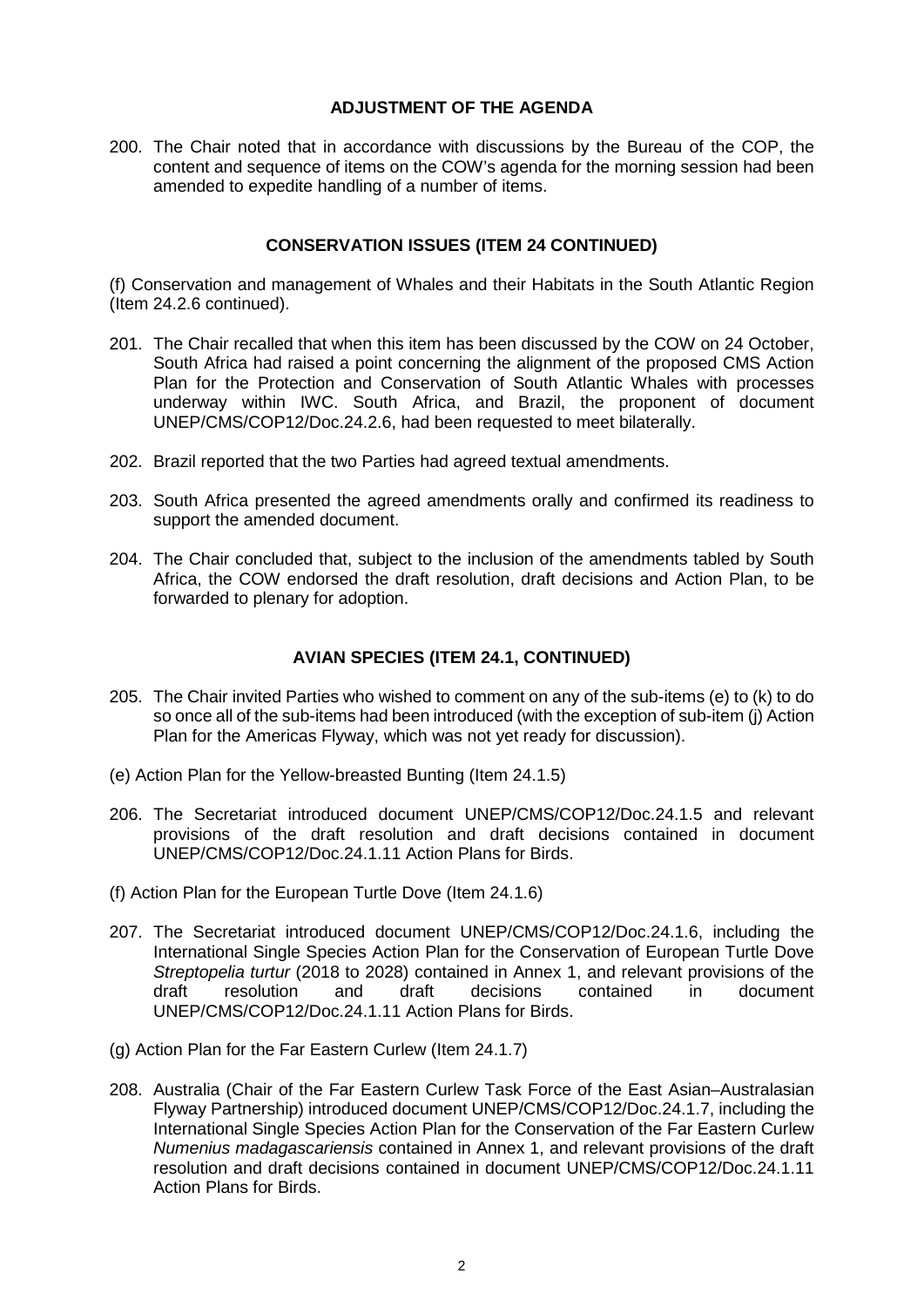# **ADJUSTMENT OF THE AGENDA**

200. The Chair noted that in accordance with discussions by the Bureau of the COP, the content and sequence of items on the COW's agenda for the morning session had been amended to expedite handling of a number of items.

#### **CONSERVATION ISSUES (ITEM 24 CONTINUED)**

(f) Conservation and management of Whales and their Habitats in the South Atlantic Region (Item 24.2.6 continued).

- 201. The Chair recalled that when this item has been discussed by the COW on 24 October, South Africa had raised a point concerning the alignment of the proposed CMS Action Plan for the Protection and Conservation of South Atlantic Whales with processes underway within IWC. South Africa, and Brazil, the proponent of document UNEP/CMS/COP12/Doc.24.2.6, had been requested to meet bilaterally.
- 202. Brazil reported that the two Parties had agreed textual amendments.
- 203. South Africa presented the agreed amendments orally and confirmed its readiness to support the amended document.
- 204. The Chair concluded that, subject to the inclusion of the amendments tabled by South Africa, the COW endorsed the draft resolution, draft decisions and Action Plan, to be forwarded to plenary for adoption.

# **AVIAN SPECIES (ITEM 24.1, CONTINUED)**

- 205. The Chair invited Parties who wished to comment on any of the sub-items (e) to (k) to do so once all of the sub-items had been introduced (with the exception of sub-item (j) Action Plan for the Americas Flyway, which was not yet ready for discussion).
- (e) Action Plan for the Yellow-breasted Bunting (Item 24.1.5)
- 206. The Secretariat introduced document UNEP/CMS/COP12/Doc.24.1.5 and relevant provisions of the draft resolution and draft decisions contained in document UNEP/CMS/COP12/Doc.24.1.11 Action Plans for Birds.
- (f) Action Plan for the European Turtle Dove (Item 24.1.6)
- 207. The Secretariat introduced document UNEP/CMS/COP12/Doc.24.1.6, including the International Single Species Action Plan for the Conservation of European Turtle Dove *Streptopelia turtur* (2018 to 2028) contained in Annex 1, and relevant provisions of the draft resolution and draft decisions contained in document UNEP/CMS/COP12/Doc.24.1.11 Action Plans for Birds.
- (g) Action Plan for the Far Eastern Curlew (Item 24.1.7)
- 208. Australia (Chair of the Far Eastern Curlew Task Force of the East Asian–Australasian Flyway Partnership) introduced document UNEP/CMS/COP12/Doc.24.1.7, including the International Single Species Action Plan for the Conservation of the Far Eastern Curlew *Numenius madagascariensis* contained in Annex 1, and relevant provisions of the draft resolution and draft decisions contained in document UNEP/CMS/COP12/Doc.24.1.11 Action Plans for Birds.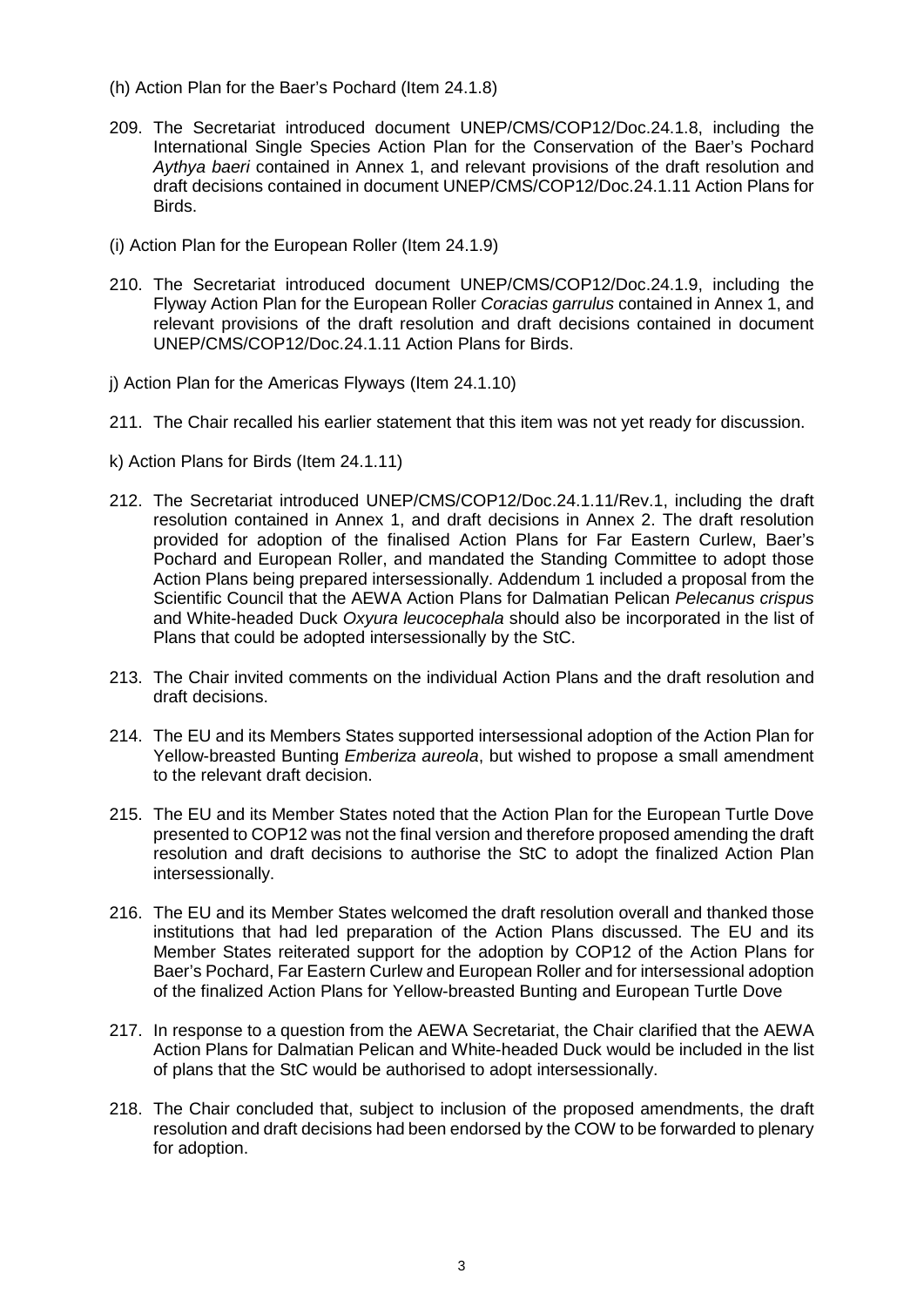- (h) Action Plan for the Baer's Pochard (Item 24.1.8)
- 209. The Secretariat introduced document UNEP/CMS/COP12/Doc.24.1.8, including the International Single Species Action Plan for the Conservation of the Baer's Pochard *Aythya baeri* contained in Annex 1, and relevant provisions of the draft resolution and draft decisions contained in document UNEP/CMS/COP12/Doc.24.1.11 Action Plans for Birds.
- (i) Action Plan for the European Roller (Item 24.1.9)
- 210. The Secretariat introduced document UNEP/CMS/COP12/Doc.24.1.9, including the Flyway Action Plan for the European Roller *Coracias garrulus* contained in Annex 1, and relevant provisions of the draft resolution and draft decisions contained in document UNEP/CMS/COP12/Doc.24.1.11 Action Plans for Birds.
- j) Action Plan for the Americas Flyways (Item 24.1.10)
- 211. The Chair recalled his earlier statement that this item was not yet ready for discussion.
- k) Action Plans for Birds (Item 24.1.11)
- 212. The Secretariat introduced UNEP/CMS/COP12/Doc.24.1.11/Rev.1, including the draft resolution contained in Annex 1, and draft decisions in Annex 2. The draft resolution provided for adoption of the finalised Action Plans for Far Eastern Curlew, Baer's Pochard and European Roller, and mandated the Standing Committee to adopt those Action Plans being prepared intersessionally. Addendum 1 included a proposal from the Scientific Council that the AEWA Action Plans for Dalmatian Pelican *Pelecanus crispus*  and White-headed Duck *Oxyura leucocephala* should also be incorporated in the list of Plans that could be adopted intersessionally by the StC.
- 213. The Chair invited comments on the individual Action Plans and the draft resolution and draft decisions.
- 214. The EU and its Members States supported intersessional adoption of the Action Plan for Yellow-breasted Bunting *Emberiza aureola*, but wished to propose a small amendment to the relevant draft decision.
- 215. The EU and its Member States noted that the Action Plan for the European Turtle Dove presented to COP12 was not the final version and therefore proposed amending the draft resolution and draft decisions to authorise the StC to adopt the finalized Action Plan intersessionally.
- 216. The EU and its Member States welcomed the draft resolution overall and thanked those institutions that had led preparation of the Action Plans discussed. The EU and its Member States reiterated support for the adoption by COP12 of the Action Plans for Baer's Pochard, Far Eastern Curlew and European Roller and for intersessional adoption of the finalized Action Plans for Yellow-breasted Bunting and European Turtle Dove
- 217. In response to a question from the AEWA Secretariat, the Chair clarified that the AEWA Action Plans for Dalmatian Pelican and White-headed Duck would be included in the list of plans that the StC would be authorised to adopt intersessionally.
- 218. The Chair concluded that, subject to inclusion of the proposed amendments, the draft resolution and draft decisions had been endorsed by the COW to be forwarded to plenary for adoption.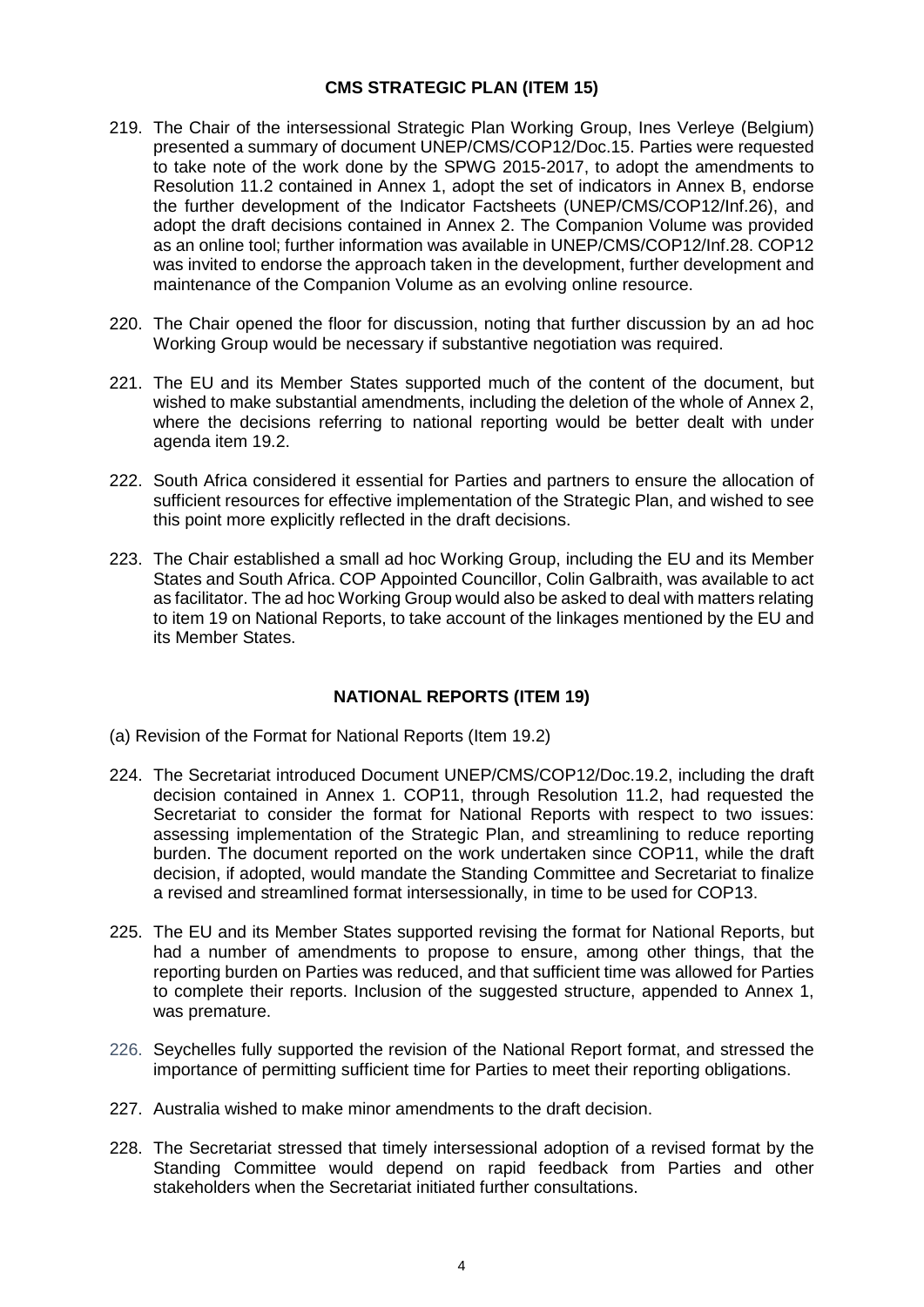# **CMS STRATEGIC PLAN (ITEM 15)**

- 219. The Chair of the intersessional Strategic Plan Working Group, Ines Verleye (Belgium) presented a summary of document UNEP/CMS/COP12/Doc.15. Parties were requested to take note of the work done by the SPWG 2015-2017, to adopt the amendments to Resolution 11.2 contained in Annex 1, adopt the set of indicators in Annex B, endorse the further development of the Indicator Factsheets (UNEP/CMS/COP12/Inf.26), and adopt the draft decisions contained in Annex 2. The Companion Volume was provided as an online tool; further information was available in UNEP/CMS/COP12/Inf.28. COP12 was invited to endorse the approach taken in the development, further development and maintenance of the Companion Volume as an evolving online resource.
- 220. The Chair opened the floor for discussion, noting that further discussion by an ad hoc Working Group would be necessary if substantive negotiation was required.
- 221. The EU and its Member States supported much of the content of the document, but wished to make substantial amendments, including the deletion of the whole of Annex 2, where the decisions referring to national reporting would be better dealt with under agenda item 19.2.
- 222. South Africa considered it essential for Parties and partners to ensure the allocation of sufficient resources for effective implementation of the Strategic Plan, and wished to see this point more explicitly reflected in the draft decisions.
- 223. The Chair established a small ad hoc Working Group, including the EU and its Member States and South Africa. COP Appointed Councillor, Colin Galbraith, was available to act as facilitator. The ad hoc Working Group would also be asked to deal with matters relating to item 19 on National Reports, to take account of the linkages mentioned by the EU and its Member States.

# **NATIONAL REPORTS (ITEM 19)**

- (a) Revision of the Format for National Reports (Item 19.2)
- 224. The Secretariat introduced Document UNEP/CMS/COP12/Doc.19.2, including the draft decision contained in Annex 1. COP11, through Resolution 11.2, had requested the Secretariat to consider the format for National Reports with respect to two issues: assessing implementation of the Strategic Plan, and streamlining to reduce reporting burden. The document reported on the work undertaken since COP11, while the draft decision, if adopted, would mandate the Standing Committee and Secretariat to finalize a revised and streamlined format intersessionally, in time to be used for COP13.
- 225. The EU and its Member States supported revising the format for National Reports, but had a number of amendments to propose to ensure, among other things, that the reporting burden on Parties was reduced, and that sufficient time was allowed for Parties to complete their reports. Inclusion of the suggested structure, appended to Annex 1, was premature.
- 226. Seychelles fully supported the revision of the National Report format, and stressed the importance of permitting sufficient time for Parties to meet their reporting obligations.
- 227. Australia wished to make minor amendments to the draft decision.
- 228. The Secretariat stressed that timely intersessional adoption of a revised format by the Standing Committee would depend on rapid feedback from Parties and other stakeholders when the Secretariat initiated further consultations.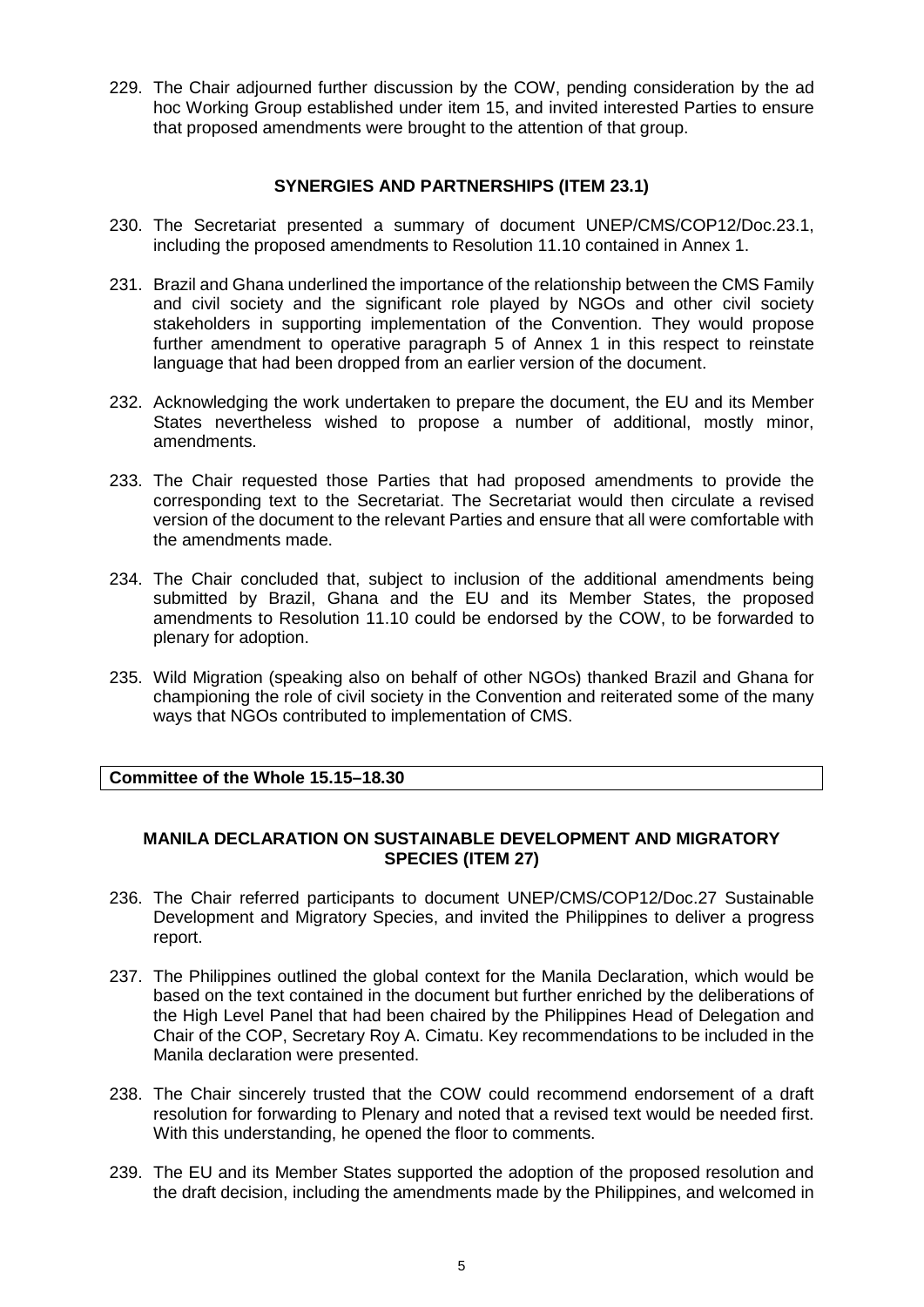229. The Chair adjourned further discussion by the COW, pending consideration by the ad hoc Working Group established under item 15, and invited interested Parties to ensure that proposed amendments were brought to the attention of that group.

### **SYNERGIES AND PARTNERSHIPS (ITEM 23.1)**

- 230. The Secretariat presented a summary of document UNEP/CMS/COP12/Doc.23.1, including the proposed amendments to Resolution 11.10 contained in Annex 1.
- 231. Brazil and Ghana underlined the importance of the relationship between the CMS Family and civil society and the significant role played by NGOs and other civil society stakeholders in supporting implementation of the Convention. They would propose further amendment to operative paragraph 5 of Annex 1 in this respect to reinstate language that had been dropped from an earlier version of the document.
- 232. Acknowledging the work undertaken to prepare the document, the EU and its Member States nevertheless wished to propose a number of additional, mostly minor, amendments.
- 233. The Chair requested those Parties that had proposed amendments to provide the corresponding text to the Secretariat. The Secretariat would then circulate a revised version of the document to the relevant Parties and ensure that all were comfortable with the amendments made.
- 234. The Chair concluded that, subject to inclusion of the additional amendments being submitted by Brazil, Ghana and the EU and its Member States, the proposed amendments to Resolution 11.10 could be endorsed by the COW, to be forwarded to plenary for adoption.
- 235. Wild Migration (speaking also on behalf of other NGOs) thanked Brazil and Ghana for championing the role of civil society in the Convention and reiterated some of the many ways that NGOs contributed to implementation of CMS.

# **Committee of the Whole 15.15–18.30**

# **MANILA DECLARATION ON SUSTAINABLE DEVELOPMENT AND MIGRATORY SPECIES (ITEM 27)**

- 236. The Chair referred participants to document UNEP/CMS/COP12/Doc.27 Sustainable Development and Migratory Species, and invited the Philippines to deliver a progress report.
- 237. The Philippines outlined the global context for the Manila Declaration, which would be based on the text contained in the document but further enriched by the deliberations of the High Level Panel that had been chaired by the Philippines Head of Delegation and Chair of the COP, Secretary Roy A. Cimatu. Key recommendations to be included in the Manila declaration were presented.
- 238. The Chair sincerely trusted that the COW could recommend endorsement of a draft resolution for forwarding to Plenary and noted that a revised text would be needed first. With this understanding, he opened the floor to comments.
- 239. The EU and its Member States supported the adoption of the proposed resolution and the draft decision, including the amendments made by the Philippines, and welcomed in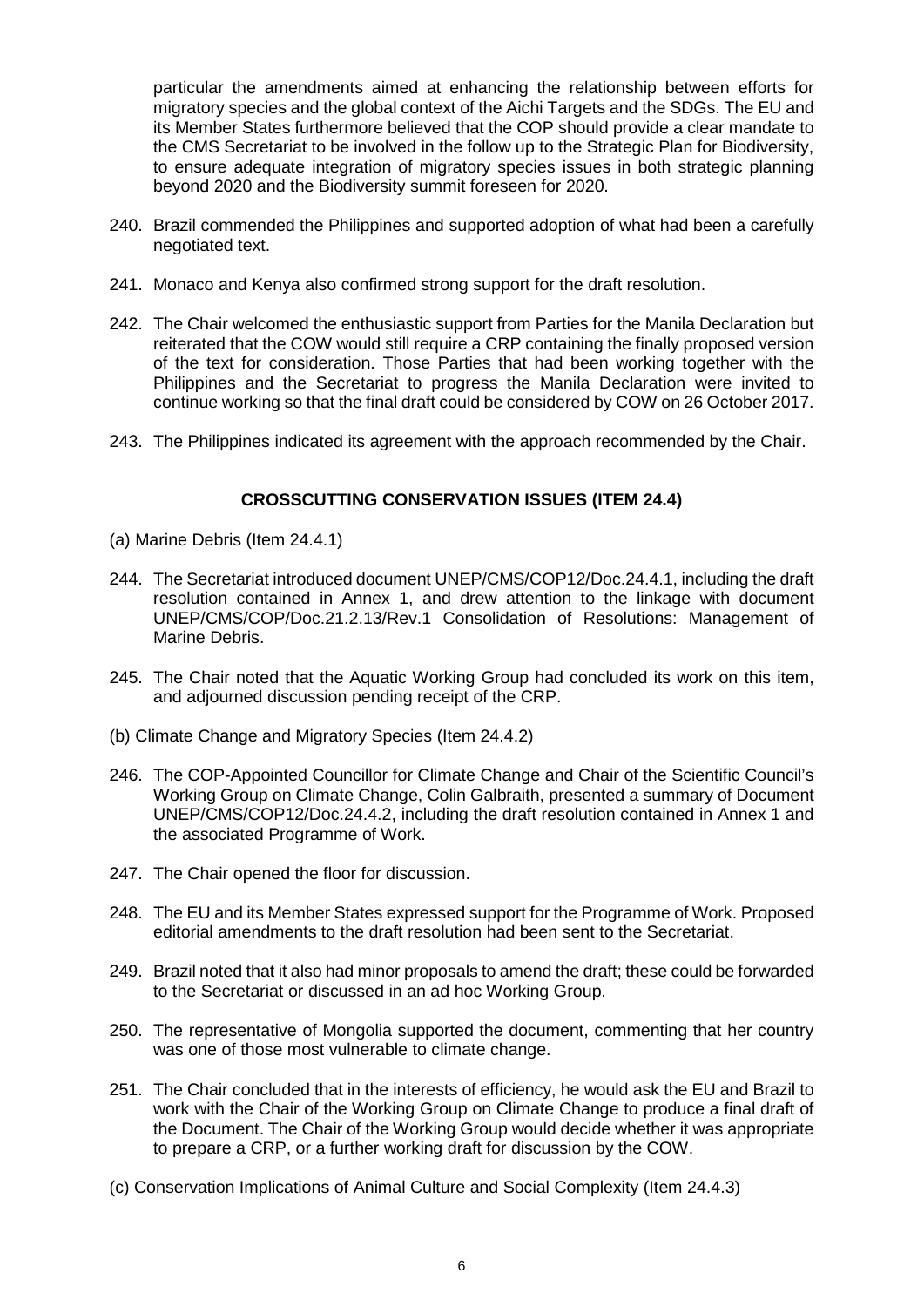particular the amendments aimed at enhancing the relationship between efforts for migratory species and the global context of the Aichi Targets and the SDGs. The EU and its Member States furthermore believed that the COP should provide a clear mandate to the CMS Secretariat to be involved in the follow up to the Strategic Plan for Biodiversity, to ensure adequate integration of migratory species issues in both strategic planning beyond 2020 and the Biodiversity summit foreseen for 2020.

- 240. Brazil commended the Philippines and supported adoption of what had been a carefully negotiated text.
- 241. Monaco and Kenya also confirmed strong support for the draft resolution.
- 242. The Chair welcomed the enthusiastic support from Parties for the Manila Declaration but reiterated that the COW would still require a CRP containing the finally proposed version of the text for consideration. Those Parties that had been working together with the Philippines and the Secretariat to progress the Manila Declaration were invited to continue working so that the final draft could be considered by COW on 26 October 2017.
- 243. The Philippines indicated its agreement with the approach recommended by the Chair.

# **CROSSCUTTING CONSERVATION ISSUES (ITEM 24.4)**

- (a) Marine Debris (Item 24.4.1)
- 244. The Secretariat introduced document UNEP/CMS/COP12/Doc.24.4.1, including the draft resolution contained in Annex 1, and drew attention to the linkage with document UNEP/CMS/COP/Doc.21.2.13/Rev.1 Consolidation of Resolutions: Management of Marine Debris.
- 245. The Chair noted that the Aquatic Working Group had concluded its work on this item, and adjourned discussion pending receipt of the CRP.
- (b) Climate Change and Migratory Species (Item 24.4.2)
- 246. The COP-Appointed Councillor for Climate Change and Chair of the Scientific Council's Working Group on Climate Change, Colin Galbraith, presented a summary of Document UNEP/CMS/COP12/Doc.24.4.2, including the draft resolution contained in Annex 1 and the associated Programme of Work.
- 247. The Chair opened the floor for discussion.
- 248. The EU and its Member States expressed support for the Programme of Work. Proposed editorial amendments to the draft resolution had been sent to the Secretariat.
- 249. Brazil noted that it also had minor proposals to amend the draft; these could be forwarded to the Secretariat or discussed in an ad hoc Working Group.
- 250. The representative of Mongolia supported the document, commenting that her country was one of those most vulnerable to climate change.
- 251. The Chair concluded that in the interests of efficiency, he would ask the EU and Brazil to work with the Chair of the Working Group on Climate Change to produce a final draft of the Document. The Chair of the Working Group would decide whether it was appropriate to prepare a CRP, or a further working draft for discussion by the COW.
- (c) Conservation Implications of Animal Culture and Social Complexity (Item 24.4.3)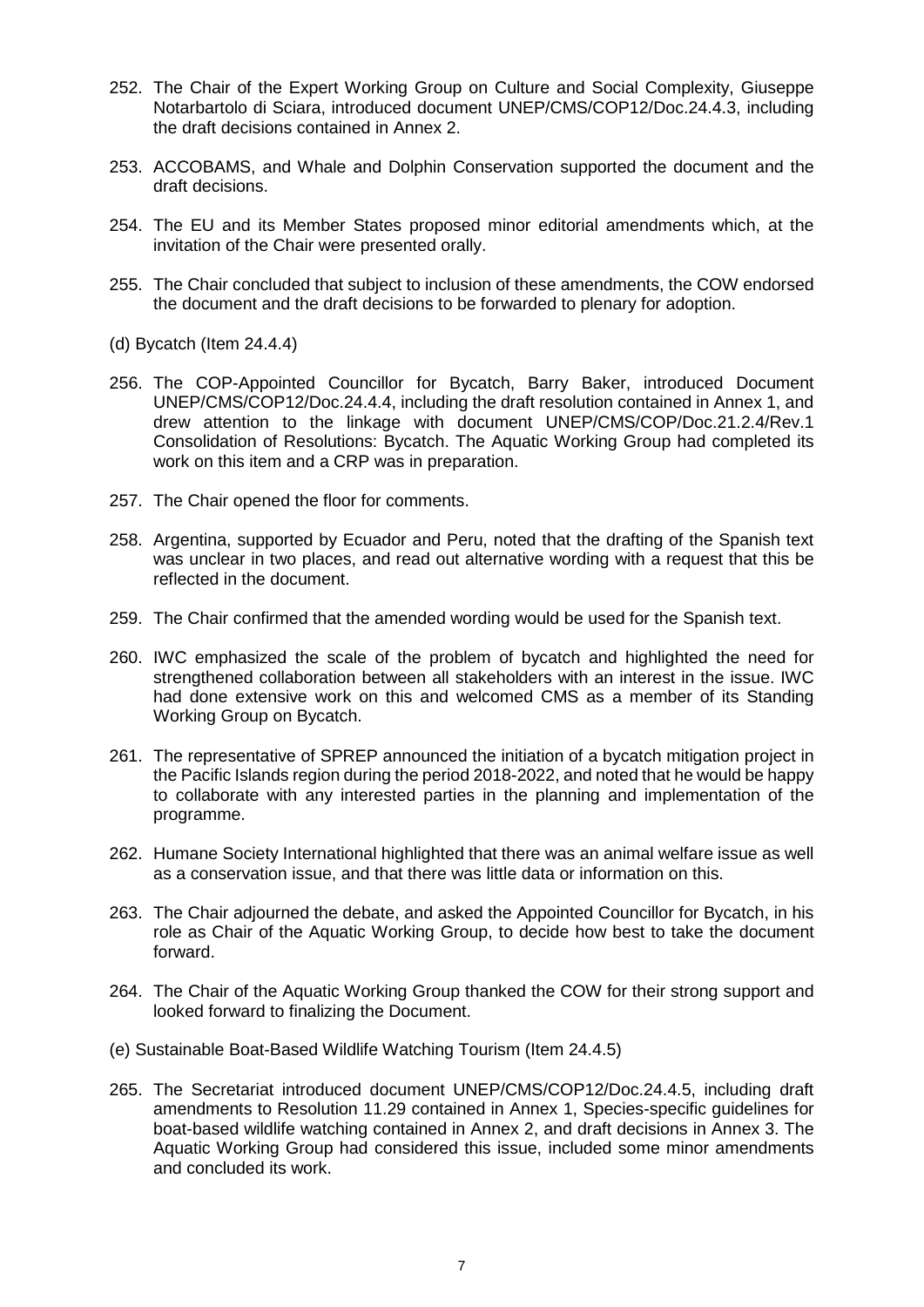- 252. The Chair of the Expert Working Group on Culture and Social Complexity, Giuseppe Notarbartolo di Sciara, introduced document UNEP/CMS/COP12/Doc.24.4.3, including the draft decisions contained in Annex 2.
- 253. ACCOBAMS, and Whale and Dolphin Conservation supported the document and the draft decisions.
- 254. The EU and its Member States proposed minor editorial amendments which, at the invitation of the Chair were presented orally.
- 255. The Chair concluded that subject to inclusion of these amendments, the COW endorsed the document and the draft decisions to be forwarded to plenary for adoption.
- (d) Bycatch (Item 24.4.4)
- 256. The COP-Appointed Councillor for Bycatch, Barry Baker, introduced Document UNEP/CMS/COP12/Doc.24.4.4, including the draft resolution contained in Annex 1, and drew attention to the linkage with document UNEP/CMS/COP/Doc.21.2.4/Rev.1 Consolidation of Resolutions: Bycatch. The Aquatic Working Group had completed its work on this item and a CRP was in preparation.
- 257. The Chair opened the floor for comments.
- 258. Argentina, supported by Ecuador and Peru, noted that the drafting of the Spanish text was unclear in two places, and read out alternative wording with a request that this be reflected in the document.
- 259. The Chair confirmed that the amended wording would be used for the Spanish text.
- 260. IWC emphasized the scale of the problem of bycatch and highlighted the need for strengthened collaboration between all stakeholders with an interest in the issue. IWC had done extensive work on this and welcomed CMS as a member of its Standing Working Group on Bycatch.
- 261. The representative of SPREP announced the initiation of a bycatch mitigation project in the Pacific Islands region during the period 2018-2022, and noted that he would be happy to collaborate with any interested parties in the planning and implementation of the programme.
- 262. Humane Society International highlighted that there was an animal welfare issue as well as a conservation issue, and that there was little data or information on this.
- 263. The Chair adjourned the debate, and asked the Appointed Councillor for Bycatch, in his role as Chair of the Aquatic Working Group, to decide how best to take the document forward.
- 264. The Chair of the Aquatic Working Group thanked the COW for their strong support and looked forward to finalizing the Document.
- (e) Sustainable Boat-Based Wildlife Watching Tourism (Item 24.4.5)
- 265. The Secretariat introduced document UNEP/CMS/COP12/Doc.24.4.5, including draft amendments to Resolution 11.29 contained in Annex 1, Species-specific guidelines for boat-based wildlife watching contained in Annex 2, and draft decisions in Annex 3. The Aquatic Working Group had considered this issue, included some minor amendments and concluded its work.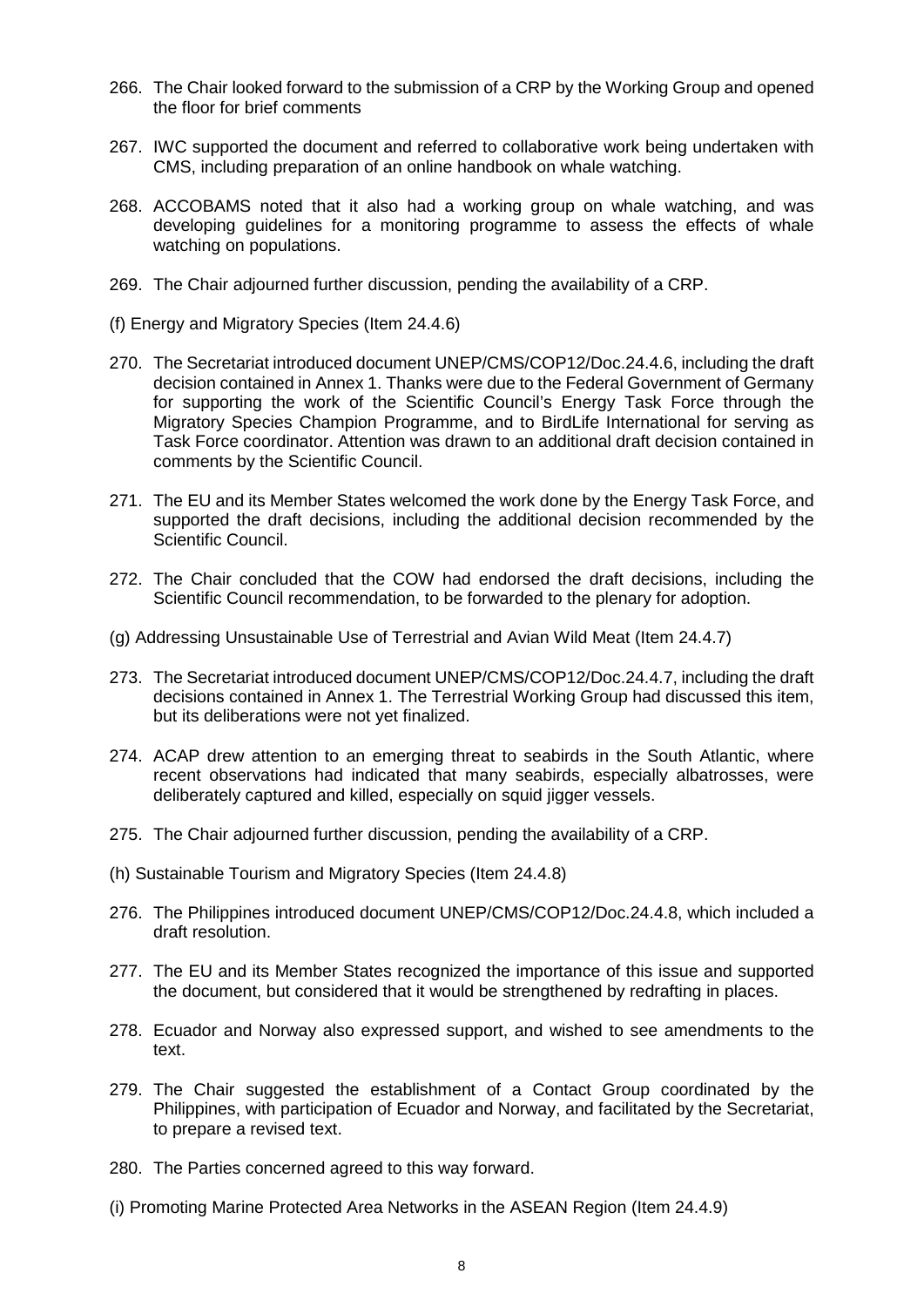- 266. The Chair looked forward to the submission of a CRP by the Working Group and opened the floor for brief comments
- 267. IWC supported the document and referred to collaborative work being undertaken with CMS, including preparation of an online handbook on whale watching.
- 268. ACCOBAMS noted that it also had a working group on whale watching, and was developing guidelines for a monitoring programme to assess the effects of whale watching on populations.
- 269. The Chair adjourned further discussion, pending the availability of a CRP.
- (f) Energy and Migratory Species (Item 24.4.6)
- 270. The Secretariat introduced document UNEP/CMS/COP12/Doc.24.4.6, including the draft decision contained in Annex 1. Thanks were due to the Federal Government of Germany for supporting the work of the Scientific Council's Energy Task Force through the Migratory Species Champion Programme, and to BirdLife International for serving as Task Force coordinator. Attention was drawn to an additional draft decision contained in comments by the Scientific Council.
- 271. The EU and its Member States welcomed the work done by the Energy Task Force, and supported the draft decisions, including the additional decision recommended by the Scientific Council.
- 272. The Chair concluded that the COW had endorsed the draft decisions, including the Scientific Council recommendation, to be forwarded to the plenary for adoption.
- (g) Addressing Unsustainable Use of Terrestrial and Avian Wild Meat (Item 24.4.7)
- 273. The Secretariat introduced document UNEP/CMS/COP12/Doc.24.4.7, including the draft decisions contained in Annex 1. The Terrestrial Working Group had discussed this item, but its deliberations were not yet finalized.
- 274. ACAP drew attention to an emerging threat to seabirds in the South Atlantic, where recent observations had indicated that many seabirds, especially albatrosses, were deliberately captured and killed, especially on squid jigger vessels.
- 275. The Chair adjourned further discussion, pending the availability of a CRP.
- (h) Sustainable Tourism and Migratory Species (Item 24.4.8)
- 276. The Philippines introduced document UNEP/CMS/COP12/Doc.24.4.8, which included a draft resolution.
- 277. The EU and its Member States recognized the importance of this issue and supported the document, but considered that it would be strengthened by redrafting in places.
- 278. Ecuador and Norway also expressed support, and wished to see amendments to the text
- 279. The Chair suggested the establishment of a Contact Group coordinated by the Philippines, with participation of Ecuador and Norway, and facilitated by the Secretariat, to prepare a revised text.
- 280. The Parties concerned agreed to this way forward.
- (i) Promoting Marine Protected Area Networks in the ASEAN Region (Item 24.4.9)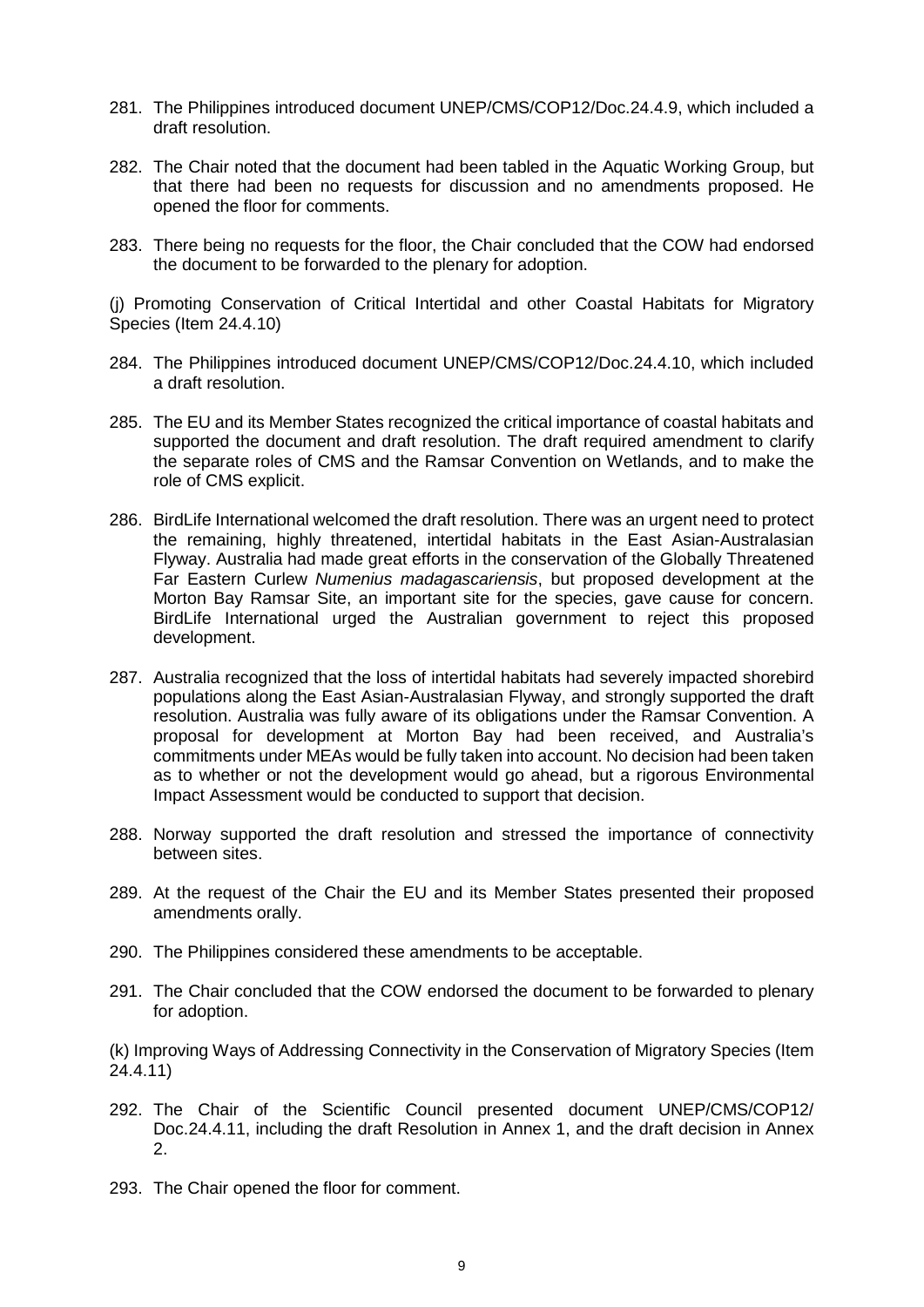- 281. The Philippines introduced document UNEP/CMS/COP12/Doc.24.4.9, which included a draft resolution.
- 282. The Chair noted that the document had been tabled in the Aquatic Working Group, but that there had been no requests for discussion and no amendments proposed. He opened the floor for comments.
- 283. There being no requests for the floor, the Chair concluded that the COW had endorsed the document to be forwarded to the plenary for adoption.

(j) Promoting Conservation of Critical Intertidal and other Coastal Habitats for Migratory Species (Item 24.4.10)

- 284. The Philippines introduced document UNEP/CMS/COP12/Doc.24.4.10, which included a draft resolution.
- 285. The EU and its Member States recognized the critical importance of coastal habitats and supported the document and draft resolution. The draft required amendment to clarify the separate roles of CMS and the Ramsar Convention on Wetlands, and to make the role of CMS explicit.
- 286. BirdLife International welcomed the draft resolution. There was an urgent need to protect the remaining, highly threatened, intertidal habitats in the East Asian-Australasian Flyway. Australia had made great efforts in the conservation of the Globally Threatened Far Eastern Curlew *Numenius madagascariensis*, but proposed development at the Morton Bay Ramsar Site, an important site for the species, gave cause for concern. BirdLife International urged the Australian government to reject this proposed development.
- 287. Australia recognized that the loss of intertidal habitats had severely impacted shorebird populations along the East Asian-Australasian Flyway, and strongly supported the draft resolution. Australia was fully aware of its obligations under the Ramsar Convention. A proposal for development at Morton Bay had been received, and Australia's commitments under MEAs would be fully taken into account. No decision had been taken as to whether or not the development would go ahead, but a rigorous Environmental Impact Assessment would be conducted to support that decision.
- 288. Norway supported the draft resolution and stressed the importance of connectivity between sites.
- 289. At the request of the Chair the EU and its Member States presented their proposed amendments orally.
- 290. The Philippines considered these amendments to be acceptable.
- 291. The Chair concluded that the COW endorsed the document to be forwarded to plenary for adoption.

(k) Improving Ways of Addressing Connectivity in the Conservation of Migratory Species (Item 24.4.11)

- 292. The Chair of the Scientific Council presented document UNEP/CMS/COP12/ Doc.24.4.11, including the draft Resolution in Annex 1, and the draft decision in Annex 2.
- 293. The Chair opened the floor for comment.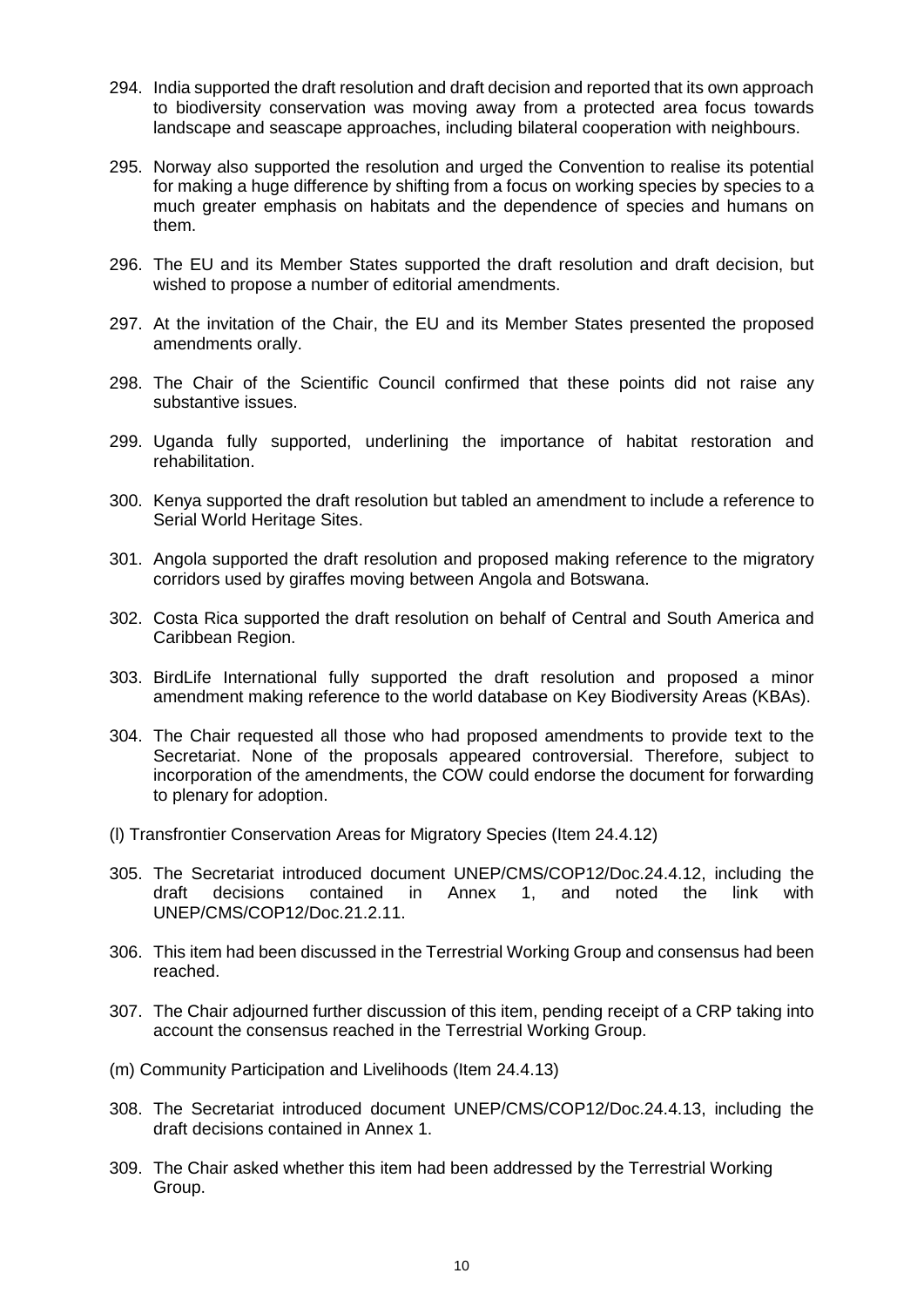- 294. India supported the draft resolution and draft decision and reported that its own approach to biodiversity conservation was moving away from a protected area focus towards landscape and seascape approaches, including bilateral cooperation with neighbours.
- 295. Norway also supported the resolution and urged the Convention to realise its potential for making a huge difference by shifting from a focus on working species by species to a much greater emphasis on habitats and the dependence of species and humans on them.
- 296. The EU and its Member States supported the draft resolution and draft decision, but wished to propose a number of editorial amendments.
- 297. At the invitation of the Chair, the EU and its Member States presented the proposed amendments orally.
- 298. The Chair of the Scientific Council confirmed that these points did not raise any substantive issues.
- 299. Uganda fully supported, underlining the importance of habitat restoration and rehabilitation.
- 300. Kenya supported the draft resolution but tabled an amendment to include a reference to Serial World Heritage Sites.
- 301. Angola supported the draft resolution and proposed making reference to the migratory corridors used by giraffes moving between Angola and Botswana.
- 302. Costa Rica supported the draft resolution on behalf of Central and South America and Caribbean Region.
- 303. BirdLife International fully supported the draft resolution and proposed a minor amendment making reference to the world database on Key Biodiversity Areas (KBAs).
- 304. The Chair requested all those who had proposed amendments to provide text to the Secretariat. None of the proposals appeared controversial. Therefore, subject to incorporation of the amendments, the COW could endorse the document for forwarding to plenary for adoption.
- (l) Transfrontier Conservation Areas for Migratory Species (Item 24.4.12)
- 305. The Secretariat introduced document UNEP/CMS/COP12/Doc.24.4.12, including the draft decisions contained in Annex 1, and noted the link with UNEP/CMS/COP12/Doc.21.2.11.
- 306. This item had been discussed in the Terrestrial Working Group and consensus had been reached.
- 307. The Chair adjourned further discussion of this item, pending receipt of a CRP taking into account the consensus reached in the Terrestrial Working Group.
- (m) Community Participation and Livelihoods (Item 24.4.13)
- 308. The Secretariat introduced document UNEP/CMS/COP12/Doc.24.4.13, including the draft decisions contained in Annex 1.
- 309. The Chair asked whether this item had been addressed by the Terrestrial Working Group.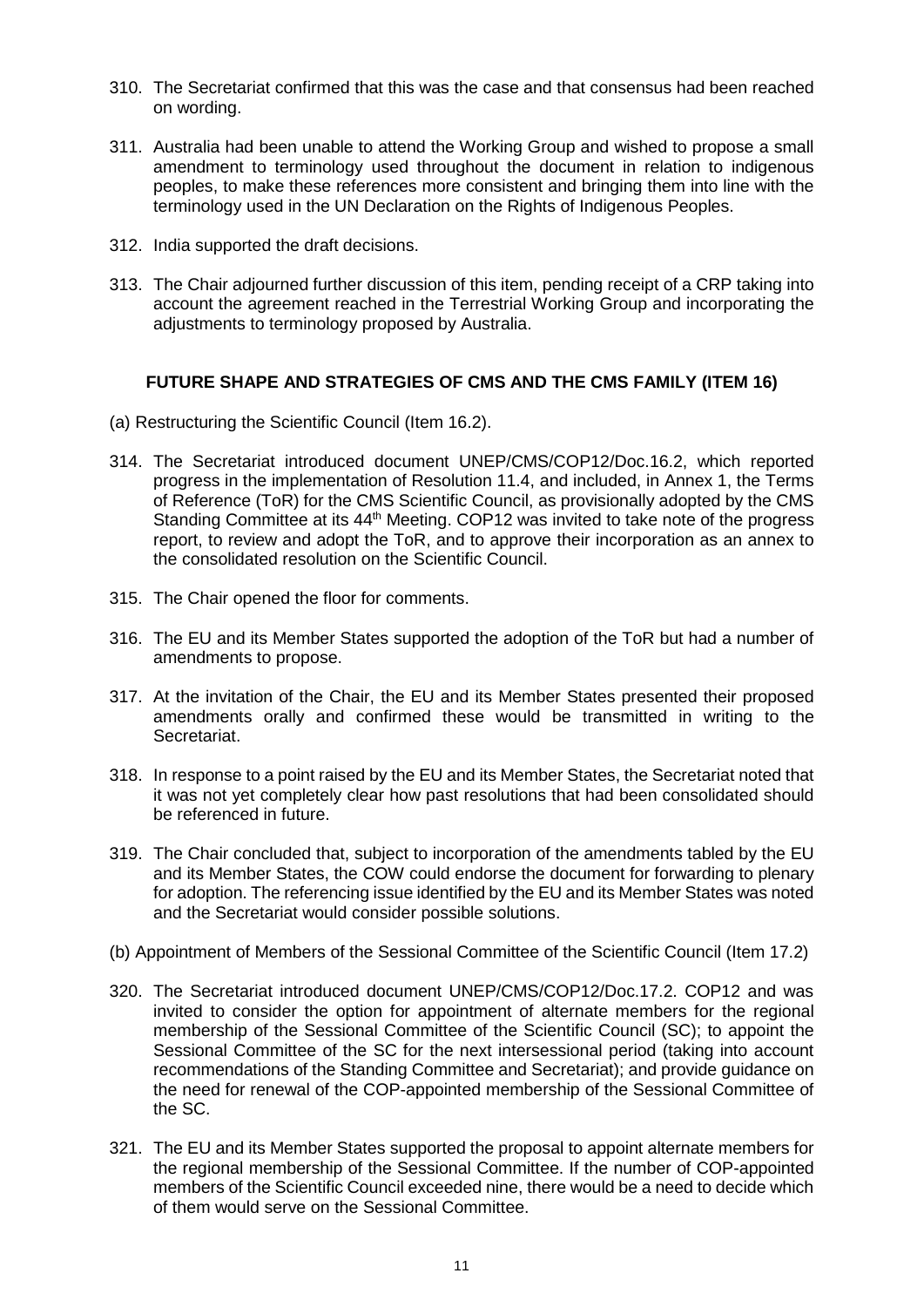- 310. The Secretariat confirmed that this was the case and that consensus had been reached on wording.
- 311. Australia had been unable to attend the Working Group and wished to propose a small amendment to terminology used throughout the document in relation to indigenous peoples, to make these references more consistent and bringing them into line with the terminology used in the UN Declaration on the Rights of Indigenous Peoples.
- 312. India supported the draft decisions.
- 313. The Chair adjourned further discussion of this item, pending receipt of a CRP taking into account the agreement reached in the Terrestrial Working Group and incorporating the adjustments to terminology proposed by Australia.

#### **FUTURE SHAPE AND STRATEGIES OF CMS AND THE CMS FAMILY (ITEM 16)**

- (a) Restructuring the Scientific Council (Item 16.2).
- 314. The Secretariat introduced document UNEP/CMS/COP12/Doc.16.2, which reported progress in the implementation of Resolution 11.4, and included, in Annex 1, the Terms of Reference (ToR) for the CMS Scientific Council, as provisionally adopted by the CMS Standing Committee at its 44<sup>th</sup> Meeting. COP12 was invited to take note of the progress report, to review and adopt the ToR, and to approve their incorporation as an annex to the consolidated resolution on the Scientific Council.
- 315. The Chair opened the floor for comments.
- 316. The EU and its Member States supported the adoption of the ToR but had a number of amendments to propose.
- 317. At the invitation of the Chair, the EU and its Member States presented their proposed amendments orally and confirmed these would be transmitted in writing to the Secretariat.
- 318. In response to a point raised by the EU and its Member States, the Secretariat noted that it was not yet completely clear how past resolutions that had been consolidated should be referenced in future.
- 319. The Chair concluded that, subject to incorporation of the amendments tabled by the EU and its Member States, the COW could endorse the document for forwarding to plenary for adoption. The referencing issue identified by the EU and its Member States was noted and the Secretariat would consider possible solutions.
- (b) Appointment of Members of the Sessional Committee of the Scientific Council (Item 17.2)
- 320. The Secretariat introduced document UNEP/CMS/COP12/Doc.17.2. COP12 and was invited to consider the option for appointment of alternate members for the regional membership of the Sessional Committee of the Scientific Council (SC); to appoint the Sessional Committee of the SC for the next intersessional period (taking into account recommendations of the Standing Committee and Secretariat); and provide guidance on the need for renewal of the COP-appointed membership of the Sessional Committee of the SC.
- 321. The EU and its Member States supported the proposal to appoint alternate members for the regional membership of the Sessional Committee. If the number of COP-appointed members of the Scientific Council exceeded nine, there would be a need to decide which of them would serve on the Sessional Committee.